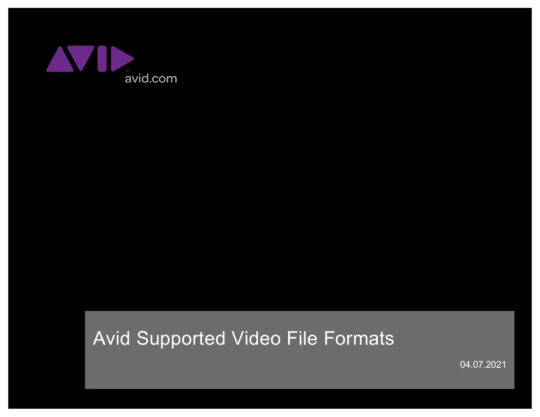

# Avid Supported Video File Formats

04.07.2021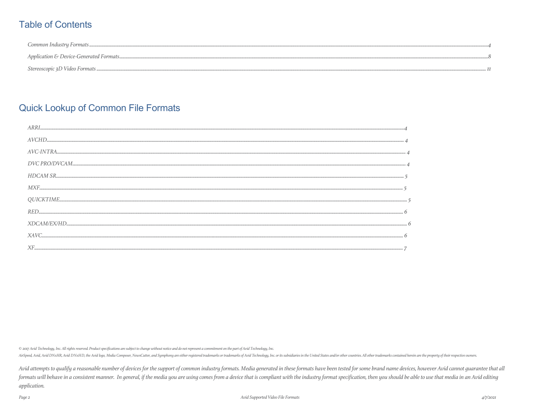### **Table of Contents**

| Common Industru Formats |
|-------------------------|
|                         |
|                         |

### **Quick Lookup of Common File Formats**

| MXF.        |
|-------------|
|             |
|             |
|             |
| <i>XAVC</i> |
|             |

© 2017 Avid Technology, Inc. All rights reserved. Product specifications are subject to change without notice and do not represent a commitment on the part of Avid Technology, Inc.

AirSpeed, Avid, Avid DNxHR, Avid DNxHD, the Avid logo, Media Composer, NewSCutter, and Symphony are either registered trademarks or trademarks of Avid Technology, Inc. or its subsidiaries in the United States and/or other

Avid attempts to qualify a reasonable number of devices for the support of common industry formats. Media generated in these formats have been tested for some brand name devices, however Avid cannot quarantee that all formats will behave in a consistent manner. In general, if the media you are using comes from a device that is compliant with the industry format specification, then you should be able to use that media in an Avid editing application.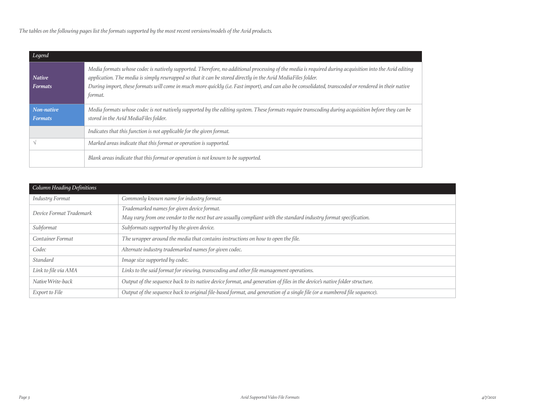*The tables on the following pages list the formats supported by the most recent versions/models of the Avid products.* 

| Legend                          |                                                                                                                                                                                                                                                                                                                                                                                                                                          |
|---------------------------------|------------------------------------------------------------------------------------------------------------------------------------------------------------------------------------------------------------------------------------------------------------------------------------------------------------------------------------------------------------------------------------------------------------------------------------------|
| <b>Native</b><br><b>Formats</b> | Media formats whose codec is natively supported. Therefore, no additional processing of the media is required during acquisition into the Avid editing<br>application. The media is simply rewrapped so that it can be stored directly in the Avid MediaFiles folder.<br>During import, these formats will come in much more quickly (i.e. Fast import), and can also be consolidated, transcoded or rendered in their native<br>format. |
| Non-native<br><b>Formats</b>    | Media formats whose codec is not natively supported by the editing system. These formats require transcoding during acquisition before they can be<br>stored in the Avid MediaFiles folder.                                                                                                                                                                                                                                              |
|                                 | Indicates that this function is not applicable for the given format.                                                                                                                                                                                                                                                                                                                                                                     |
|                                 | Marked areas indicate that this format or operation is supported.                                                                                                                                                                                                                                                                                                                                                                        |
|                                 | Blank areas indicate that this format or operation is not known to be supported.                                                                                                                                                                                                                                                                                                                                                         |

| Column Heading Definitions |                                                                                                                           |
|----------------------------|---------------------------------------------------------------------------------------------------------------------------|
| <b>Industry Format</b>     | Commonly known name for industry format.                                                                                  |
| Device Format Trademark    | Trademarked names for given device format.                                                                                |
|                            | May vary from one vendor to the next but are usually compliant with the standard industry format specification.           |
| Subformat                  | Subformats supported by the given device.                                                                                 |
| <b>Container Format</b>    | The wrapper around the media that contains instructions on how to open the file.                                          |
| Codec                      | Alternate industry trademarked names for given codec.                                                                     |
| Standard                   | Image size supported by codec.                                                                                            |
| Link to file via AMA       | Links to the said format for viewing, transcoding and other file management operations.                                   |
| Native Write-back          | Output of the sequence back to its native device format, and generation of files in the device's native folder structure. |
| Export to File             | Output of the sequence back to original file-based format, and generation of a single file (or a numbered file sequence). |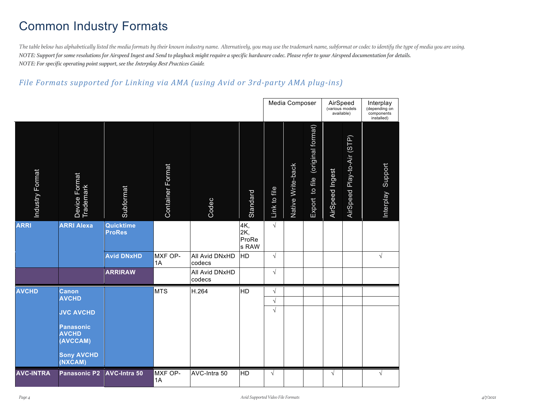# Common Industry Formats

*The table below has alphabetically listed the media formats by their known industry name. Alternatively, you may use the trademark name, subformat or codec to identify the type of media you are using. NOTE: Support for some resolutions for Airspeed Ingest and Send to playback might require a specific hardware codec. Please refer to your Airspeed documentation for details. NOTE: For specific operating point support, see the Interplay Best Practices Guide.*

#### File Formats supported for Linking via AMA (using Avid or 3rd-party AMA plug-ins)

|                  |                                              |                            |                  |                          |                              |              | Media Composer    |                                     | AirSpeed<br>(various models<br>available) |                            | Interplay<br>(depending on<br>components<br>installed) |
|------------------|----------------------------------------------|----------------------------|------------------|--------------------------|------------------------------|--------------|-------------------|-------------------------------------|-------------------------------------------|----------------------------|--------------------------------------------------------|
| Industry Format  | Device Format<br>Trademark                   | Subformat                  | Container Format | Codec                    | Standard                     | Link to file | Native Write-back | (original format)<br>Export to file | AirSpeed Ingest                           | AirSpeed Play-to-Air (STP) | Interplay Support                                      |
| <b>ARRI</b>      | <b>ARRI Alexa</b>                            | Quicktime<br><b>ProRes</b> |                  |                          | 4K,<br>2K,<br>ProRe<br>s RAW | $\sqrt{}$    |                   |                                     |                                           |                            |                                                        |
|                  |                                              | <b>Avid DNxHD</b>          | MXF OP-<br>1A    | All Avid DNxHD<br>codecs | <b>HD</b>                    | $\sqrt{}$    |                   |                                     |                                           |                            | $\sqrt{}$                                              |
|                  |                                              | <b>ARRIRAW</b>             |                  | All Avid DNxHD<br>codecs |                              | $\sqrt{}$    |                   |                                     |                                           |                            |                                                        |
| <b>AVCHD</b>     | <b>Canon</b>                                 |                            | <b>MTS</b>       | H.264                    | <b>HD</b>                    | $\sqrt{}$    |                   |                                     |                                           |                            |                                                        |
|                  | <b>AVCHD</b>                                 |                            |                  |                          |                              | $\sqrt{}$    |                   |                                     |                                           |                            |                                                        |
|                  | <b>JVC AVCHD</b>                             |                            |                  |                          |                              | $\sqrt{}$    |                   |                                     |                                           |                            |                                                        |
|                  | <b>Panasonic</b><br><b>AVCHD</b><br>(AVCCAM) |                            |                  |                          |                              |              |                   |                                     |                                           |                            |                                                        |
|                  | <b>Sony AVCHD</b><br>(NXCAM)                 |                            |                  |                          |                              |              |                   |                                     |                                           |                            |                                                        |
| <b>AVC-INTRA</b> | <b>Panasonic P2</b>                          | <b>AVC-Intra 50</b>        | MXF OP-<br>1A    | AVC-Intra 50             | <b>HD</b>                    | $\sqrt{ }$   |                   |                                     | $\sqrt{}$                                 |                            |                                                        |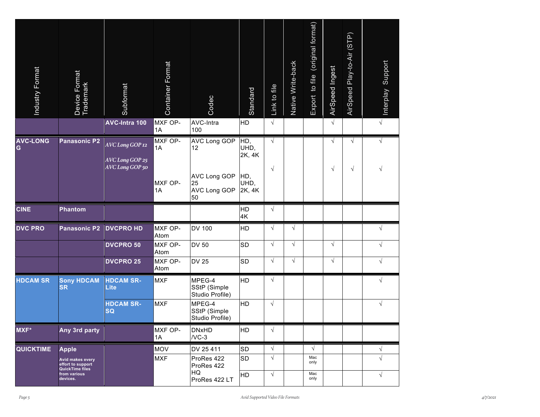| Industry Format      | Device Format<br>Trademark                               | Subformat<br>AVC-Intra 100                            | <b>Container Format</b><br>MXF OP- | Codec<br>AVC-Intra                                                                  | Standard<br>HD                                 | Link to file<br>$\sqrt{ }$ | Native Write-back | Export to file (original format) | AirSpeed Ingest<br>$\sqrt{ }$ | AirSpeed Play-to-Air (STP) | Support<br>Interplay<br>$\sqrt{ }$ |
|----------------------|----------------------------------------------------------|-------------------------------------------------------|------------------------------------|-------------------------------------------------------------------------------------|------------------------------------------------|----------------------------|-------------------|----------------------------------|-------------------------------|----------------------------|------------------------------------|
|                      |                                                          |                                                       | 1A                                 | 100                                                                                 |                                                |                            |                   |                                  |                               |                            |                                    |
| <b>AVC-LONG</b><br>G | <b>Panasonic P2</b>                                      | AVC Long GOP 12<br>AVC Long GOP 25<br>AVC Long GOP 50 | MXF OP-<br>1A<br>MXF OP-<br>1A     | <b>AVC Long GOP</b><br>12<br><b>AVC Long GOP</b><br>25<br><b>AVC Long GOP</b><br>50 | HD,<br>UHD,<br>2K, 4K<br>HD,<br>UHD,<br>2K, 4K | $\sqrt{ }$<br>$\sqrt{ }$   |                   |                                  | $\sqrt{ }$<br>$\sqrt{}$       | $\sqrt{}$<br>$\sqrt{}$     | $\sqrt{ }$<br>$\sqrt{ }$           |
| <b>CINE</b>          | <b>Phantom</b>                                           |                                                       |                                    |                                                                                     | HD<br>4K                                       | $\sqrt{ }$                 |                   |                                  |                               |                            |                                    |
| <b>DVC PRO</b>       | Panasonic P2                                             | <b>DVCPRO HD</b>                                      | MXF OP-<br>Atom                    | <b>DV 100</b>                                                                       | HD                                             | $\sqrt{}$                  | $\sqrt{ }$        |                                  |                               |                            | $\sqrt{}$                          |
|                      |                                                          | <b>DVCPRO 50</b>                                      | MXF OP-<br>Atom                    | <b>DV 50</b>                                                                        | <b>SD</b>                                      | $\sqrt{}$                  | $\sqrt{ }$        |                                  | $\sqrt{}$                     |                            | $\sqrt{ }$                         |
|                      |                                                          | <b>DVCPRO 25</b>                                      | MXF OP-<br>Atom                    | <b>DV 25</b>                                                                        | <b>SD</b>                                      | $\sqrt{}$                  | $\sqrt{ }$        |                                  | $\sqrt{}$                     |                            | $\sqrt{ }$                         |
| <b>HDCAM SR</b>      | <b>Sony HDCAM</b><br><b>SR</b>                           | <b>HDCAM SR-</b><br><b>Lite</b>                       | <b>MXF</b>                         | MPEG-4<br>SStP (Simple<br>Studio Profile)                                           | HD                                             | $\sqrt{}$                  |                   |                                  |                               |                            | $\sqrt{ }$                         |
|                      |                                                          | <b>HDCAM SR-</b><br><b>SQ</b>                         | <b>MXF</b>                         | MPEG-4<br>SStP (Simple<br>Studio Profile)                                           | HD                                             | $\sqrt{}$                  |                   |                                  |                               |                            | $\sqrt{ }$                         |
| <b>MXF*</b>          | Any 3rd party                                            |                                                       | MXF OP-<br>1A                      | <b>DNxHD</b><br>$/VC-3$                                                             | HD                                             | $\sqrt{}$                  |                   |                                  |                               |                            |                                    |
| <b>QUICKTIME</b>     | <b>Apple</b>                                             |                                                       | <b>MOV</b>                         | DV 25 411                                                                           | <b>SD</b>                                      | $\sqrt{ }$                 |                   | $\sqrt{ }$                       |                               |                            | $\sqrt{ }$                         |
|                      | Avid makes every<br>effort to support<br>QuickTime files |                                                       | <b>MXF</b>                         | ProRes 422<br>ProRes 422                                                            | <b>SD</b>                                      | $\sqrt{ }$                 |                   | Mac<br>only                      |                               |                            | $\sqrt{ }$                         |
|                      | from various<br>devices.                                 |                                                       |                                    | HQ<br>ProRes 422 LT                                                                 | <b>HD</b>                                      | $\sqrt{ }$                 |                   | Mac<br>only                      |                               |                            | $\sqrt{ }$                         |
| Page 5               |                                                          |                                                       |                                    |                                                                                     | Avid Supported Video File Formats              |                            |                   |                                  |                               |                            |                                    |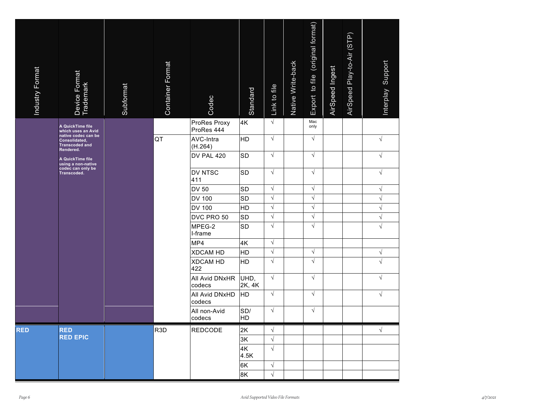| Industry Format | Device Format                                                 | Subformat | <b>Container Format</b> | Codec                      | Standard       | Link to file | Native Write-back | Export to file (original format) | AirSpeed Ingest | AirSpeed Play-to-Air (STP) | Support<br>Interplay |
|-----------------|---------------------------------------------------------------|-----------|-------------------------|----------------------------|----------------|--------------|-------------------|----------------------------------|-----------------|----------------------------|----------------------|
|                 | A QuickTime file<br>which uses an Avid                        |           |                         | ProRes Proxy<br>ProRes 444 | 4K             | $\sqrt{ }$   |                   | Mac<br>only                      |                 |                            |                      |
|                 | native codec can be<br>Consolidated,<br><b>Transcoded and</b> |           | <b>QT</b>               | AVC-Intra<br>(H.264)       | HD             | $\sqrt{}$    |                   | $\sqrt{ }$                       |                 |                            | $\sqrt{ }$           |
|                 | Rendered.<br>A QuickTime file                                 |           |                         | DV PAL 420                 | <b>SD</b>      | $\sqrt{ }$   |                   | $\sqrt{ }$                       |                 |                            | $\sqrt{ }$           |
|                 |                                                               |           |                         | DV NTSC<br>411             | <b>SD</b>      | $\sqrt{}$    |                   | $\sqrt{ }$                       |                 |                            | $\sqrt{ }$           |
|                 |                                                               |           |                         | <b>DV 50</b>               | <b>SD</b>      | $\sqrt{}$    |                   | $\sqrt{ }$                       |                 |                            | $\sqrt{ }$           |
|                 |                                                               |           |                         | <b>DV 100</b>              | <b>SD</b>      | $\sqrt{ }$   |                   | $\sqrt{ }$                       |                 |                            | $\sqrt{ }$           |
|                 |                                                               |           |                         | <b>DV 100</b>              | HD             | $\sqrt{}$    |                   | $\sqrt{ }$                       |                 |                            | $\sqrt{ }$           |
|                 |                                                               |           |                         | DVC PRO 50                 | <b>SD</b>      | $\sqrt{}$    |                   | $\sqrt{ }$                       |                 |                            | $\sqrt{ }$           |
|                 |                                                               |           |                         | MPEG-2<br>I-frame          | <b>SD</b>      | $\sqrt{}$    |                   | $\sqrt{ }$                       |                 |                            | $\sqrt{ }$           |
|                 |                                                               |           |                         | MP4                        | 4K             | $\sqrt{}$    |                   |                                  |                 |                            |                      |
|                 |                                                               |           |                         | <b>XDCAM HD</b>            | HD             | $\sqrt{}$    |                   | $\sqrt{ }$                       |                 |                            | $\sqrt{ }$           |
|                 |                                                               |           |                         | <b>XDCAM HD</b><br>422     | HD             | $\sqrt{}$    |                   | $\sqrt{ }$                       |                 |                            | $\sqrt{ }$           |
|                 |                                                               |           |                         | All Avid DNxHR<br>codecs   | UHD,<br>2K, 4K | $\sqrt{}$    |                   | $\sqrt{ }$                       |                 |                            | $\sqrt{ }$           |
|                 |                                                               |           |                         | All Avid DNxHD<br>codecs   | <b>HD</b>      | $\sqrt{ }$   |                   | $\sqrt{ }$                       |                 |                            | $\sqrt{ }$           |
|                 |                                                               |           |                         | All non-Avid<br>codecs     | SD/<br>HD      | $\sqrt{}$    |                   | $\sqrt{ }$                       |                 |                            |                      |
| <b>RED</b>      | <b>RED</b>                                                    |           | R <sub>3D</sub>         | <b>REDCODE</b>             | 2K             | $\sqrt{ }$   |                   |                                  |                 |                            | $\sqrt{ }$           |
|                 | <b>RED EPIC</b>                                               |           |                         |                            | 3K             | $\sqrt{ }$   |                   |                                  |                 |                            |                      |
|                 |                                                               |           |                         |                            | 4K<br>4.5K     | $\sqrt{ }$   |                   |                                  |                 |                            |                      |
|                 |                                                               |           |                         |                            | 6K             | $\sqrt{}$    |                   |                                  |                 |                            |                      |
|                 |                                                               |           |                         |                            | 8K             | $\sqrt{ }$   |                   |                                  |                 |                            |                      |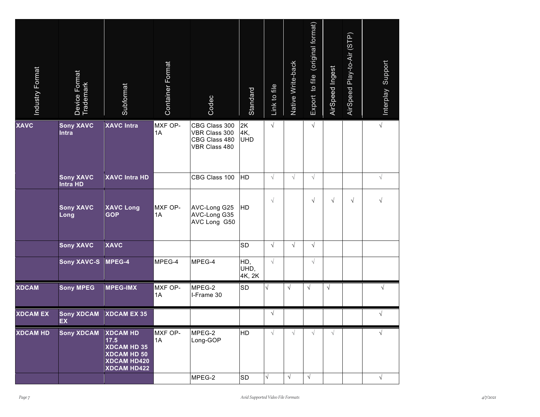| Industry Format | Device Format<br>Trademark          | Subformat                                                                                                       | Container Format | Codec                                                            | Standard                          | Link to file | Native Write-back | (original format)<br>Export to file | AirSpeed Ingest | AirSpeed Play-to-Air (STP) | Support<br>Interplay |  |
|-----------------|-------------------------------------|-----------------------------------------------------------------------------------------------------------------|------------------|------------------------------------------------------------------|-----------------------------------|--------------|-------------------|-------------------------------------|-----------------|----------------------------|----------------------|--|
| <b>XAVC</b>     | <b>Sony XAVC</b><br>Intra           | <b>XAVC Intra</b>                                                                                               | MXF OP-<br>1A    | CBG Class 300<br>VBR Class 300<br>CBG Class 480<br>VBR Class 480 | 2K<br>4K,<br><b>UHD</b>           | $\sqrt{ }$   |                   | $\sqrt{ }$                          |                 |                            | $\sqrt{ }$           |  |
|                 | <b>Sony XAVC</b><br><b>Intra HD</b> | <b>XAVC Intra HD</b>                                                                                            |                  | CBG Class 100                                                    | <b>HD</b>                         | $\sqrt{}$    | $\sqrt{ }$        | $\sqrt{ }$                          |                 |                            | $\sqrt{ }$           |  |
|                 | <b>Sony XAVC</b><br>Long            | <b>XAVC Long</b><br><b>GOP</b>                                                                                  | MXF OP-<br>1A    | AVC-Long G25<br>AVC-Long G35<br>AVC Long G50                     | <b>HD</b>                         | $\sqrt{}$    |                   | $\sqrt{}$                           | $\sqrt{}$       | $\sqrt{}$                  | $\sqrt{ }$           |  |
|                 | <b>Sony XAVC</b>                    | <b>XAVC</b>                                                                                                     |                  |                                                                  | <b>SD</b>                         | $\sqrt{ }$   | $\sqrt{ }$        | $\sqrt{ }$                          |                 |                            |                      |  |
|                 | <b>Sony XAVC-S</b>                  | MPEG-4                                                                                                          | MPEG-4           | MPEG-4                                                           | HD,<br>UHD,<br>4K, 2K             | $\sqrt{ }$   |                   | $\sqrt{}$                           |                 |                            |                      |  |
| <b>XDCAM</b>    | <b>Sony MPEG</b>                    | <b>MPEG-IMX</b>                                                                                                 | MXF OP-<br>1A    | MPEG-2<br>I-Frame 30                                             | <b>SD</b>                         |              | $\sqrt{ }$        | $\sqrt{}$                           | $\sqrt{ }$      |                            | $\sqrt{}$            |  |
| <b>XDCAM EX</b> | <b>Sony XDCAM</b><br>EX             | <b>XDCAM EX 35</b>                                                                                              |                  |                                                                  |                                   | $\sqrt{ }$   |                   |                                     |                 |                            | $\sqrt{ }$           |  |
| <b>XDCAM HD</b> | <b>Sony XDCAM</b>                   | <b>XDCAM HD</b><br>17.5<br><b>XDCAM HD 35</b><br><b>XDCAM HD 50</b><br><b>XDCAM HD420</b><br><b>XDCAM HD422</b> | MXF OP-<br>1A    | MPEG-2<br>Long-GOP                                               | <b>HD</b>                         | $\sqrt{}$    | $\sqrt{ }$        | $\sqrt{ }$                          | $\sqrt{}$       |                            | $\sqrt{}$            |  |
|                 |                                     |                                                                                                                 |                  | MPEG-2                                                           | <b>SD</b>                         | V            | $\sqrt{ }$        | $\sqrt{ }$                          |                 |                            | $\sqrt{}$            |  |
| Page 7          |                                     |                                                                                                                 |                  |                                                                  | Avid Supported Video File Formats |              |                   |                                     |                 |                            |                      |  |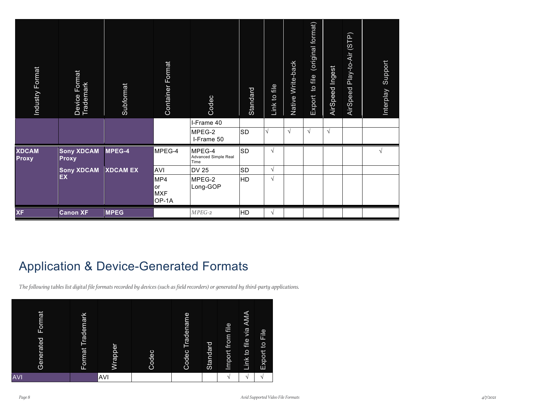| Industry Format                   | Device Format<br>Trademark        | Subformat                      | Container Format                               | Codec<br>I-Frame 40                                                                                                                                                                         | Standard                                            | Link to file            | Native Write-back | Export to file (original format) | AirSpeed Ingest | AirSpeed Play-to-Air (STP) | Support<br>Interplay |  |
|-----------------------------------|-----------------------------------|--------------------------------|------------------------------------------------|---------------------------------------------------------------------------------------------------------------------------------------------------------------------------------------------|-----------------------------------------------------|-------------------------|-------------------|----------------------------------|-----------------|----------------------------|----------------------|--|
|                                   |                                   |                                |                                                | MPEG-2<br>I-Frame 50                                                                                                                                                                        | <b>SD</b>                                           |                         | $\sqrt{ }$        | $\sqrt{}$                        | $\sqrt{}$       |                            |                      |  |
| <b>XDCAM</b><br>Proxy             | <b>Sony XDCAM</b><br><b>Proxy</b> | MPEG-4                         | MPEG-4                                         | MPEG-4<br>Advanced Simple Real<br>Time                                                                                                                                                      | <b>SD</b>                                           | $\sqrt{}$               |                   |                                  |                 |                            | $\sqrt{ }$           |  |
|                                   | <b>Sony XDCAM</b><br><b>EX</b>    | <b>XDCAM EX</b>                | <b>AVI</b><br>MP4<br>or<br><b>MXF</b><br>OP-1A | <b>DV 25</b><br>MPEG-2<br>Long-GOP                                                                                                                                                          | <b>SD</b><br>HD                                     | $\sqrt{}$<br>$\sqrt{ }$ |                   |                                  |                 |                            |                      |  |
| <b>XF</b>                         | <b>Canon XF</b>                   | <b>MPEG</b>                    |                                                | $MPEG-2$                                                                                                                                                                                    | <b>HD</b>                                           | $\sqrt{}$               |                   |                                  |                 |                            |                      |  |
|                                   |                                   |                                |                                                | <b>Application &amp; Device-Generated Formats</b><br>The following tables list digital file formats recorded by devices (such as field recorders) or generated by third-party applications. |                                                     |                         |                   |                                  |                 |                            |                      |  |
| mat<br>$F$ or<br>Generated<br>۷I) | lark<br>Format Tradem             | Wrapper<br>Codec<br><b>AVI</b> | Codec Tradename                                | Import from file<br>Standard<br>$\sqrt{}$                                                                                                                                                   | AMA<br>Link to file via<br>$\sqrt{2}$<br>$\sqrt{ }$ | Export to File          |                   |                                  |                 |                            |                      |  |
|                                   |                                   |                                |                                                |                                                                                                                                                                                             |                                                     |                         |                   |                                  |                 |                            |                      |  |

### Application & Device-Generated Formats

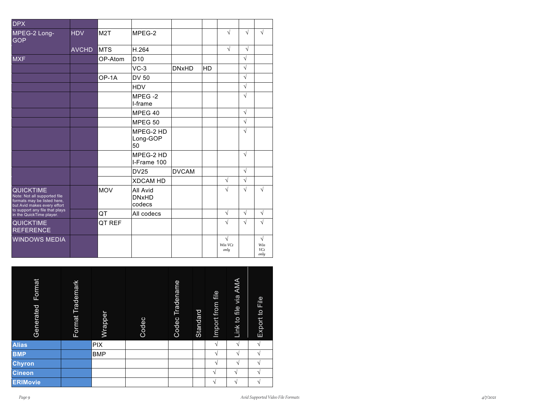| $\overline{DPX}$                                                                                               |              |            |                                    |              |    |                      |            |                                 |
|----------------------------------------------------------------------------------------------------------------|--------------|------------|------------------------------------|--------------|----|----------------------|------------|---------------------------------|
| MPEG-2 Long-<br><b>GOP</b>                                                                                     | <b>HDV</b>   | M2T        | MPEG-2                             |              |    | $\sqrt{}$            | $\sqrt{ }$ | V                               |
|                                                                                                                | <b>AVCHD</b> | <b>MTS</b> | H.264                              |              |    | $\sqrt{ }$           | $\sqrt{ }$ |                                 |
| <b>MXF</b>                                                                                                     |              | OP-Atom    | D <sub>10</sub>                    |              |    |                      | $\sqrt{}$  |                                 |
|                                                                                                                |              |            | $VC-3$                             | <b>DNxHD</b> | HD |                      | $\sqrt{}$  |                                 |
|                                                                                                                |              | OP-1A      | <b>DV 50</b>                       |              |    |                      | $\sqrt{}$  |                                 |
|                                                                                                                |              |            | <b>HDV</b>                         |              |    |                      | $\sqrt{}$  |                                 |
|                                                                                                                |              |            | MPEG-2<br>I-frame                  |              |    |                      | $\sqrt{}$  |                                 |
|                                                                                                                |              |            | MPEG 40                            |              |    |                      | $\sqrt{}$  |                                 |
|                                                                                                                |              |            | MPEG 50                            |              |    |                      | $\sqrt{}$  |                                 |
|                                                                                                                |              |            | MPEG-2 HD<br>Long-GOP<br>50        |              |    |                      | $\sqrt{}$  |                                 |
|                                                                                                                |              |            | MPEG-2 HD<br>I-Frame 100           |              |    |                      | $\sqrt{ }$ |                                 |
|                                                                                                                |              |            | <b>DV25</b>                        | <b>DVCAM</b> |    |                      | $\sqrt{ }$ |                                 |
|                                                                                                                |              |            | <b>XDCAM HD</b>                    |              |    | $\sqrt{}$            | $\sqrt{ }$ |                                 |
| <b>QUICKTIME</b><br>Note: Not all supported file<br>formats may be listed here,<br>but Avid makes every effort |              | <b>MOV</b> | All Avid<br><b>DNxHD</b><br>codecs |              |    | $\sqrt{}$            | $\sqrt{ }$ | $\sqrt{2}$                      |
| to support any file that plays<br>in the QuickTime player.                                                     |              | QT         | All codecs                         |              |    | $\sqrt{}$            | $\sqrt{}$  | $\sqrt{}$                       |
| <b>QUICKTIME</b><br><b>REFERENCE</b>                                                                           |              | QT REF     |                                    |              |    | V                    | $\sqrt{ }$ | V                               |
| <b>WINDOWS MEDIA</b>                                                                                           |              |            |                                    |              |    | V<br>Win VCI<br>only |            | $\sqrt{}$<br>Win<br>VCI<br>only |

| Format<br>Generated | Format Trademark | Wrapper    | Codec | Tradename<br>Codec | Standard | Import from file | file via AMA<br>Link to | File<br>Export to |
|---------------------|------------------|------------|-------|--------------------|----------|------------------|-------------------------|-------------------|
| <b>Alias</b>        |                  | <b>PIX</b> |       |                    |          | V                | V                       | V                 |
| <b>BMP</b>          |                  | <b>BMP</b> |       |                    |          | V                | N                       | V                 |
| Chyron              |                  |            |       |                    |          | V                | N                       | N                 |
| <b>Cineon</b>       |                  |            |       |                    |          | $\mathbf{v}$     | N                       | $\mathbf{v}$      |
| <b>ERIMovie</b>     |                  |            |       |                    |          | V                | V                       | V                 |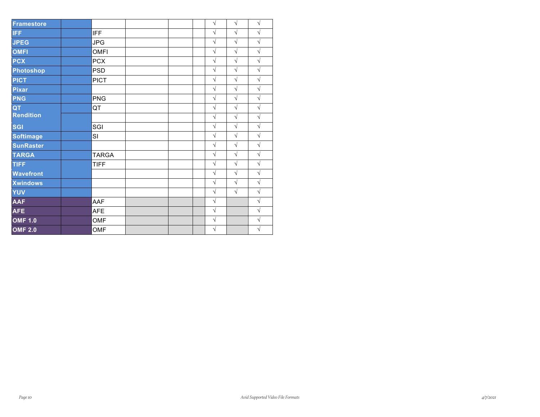| <b>Framestore</b> |              |  | $\sqrt{}$  | $\sqrt{ }$ | $\sqrt{2}$ |
|-------------------|--------------|--|------------|------------|------------|
| <b>IFF</b>        | <b>IFF</b>   |  | $\sqrt{}$  | $\sqrt{}$  | $\sqrt{}$  |
| <b>JPEG</b>       | <b>JPG</b>   |  | $\sqrt{}$  | $\sqrt{}$  | $\sqrt{}$  |
| <b>OMFI</b>       | <b>OMFI</b>  |  | $\sqrt{2}$ | $\sqrt{ }$ | $\sqrt{}$  |
| <b>PCX</b>        | <b>PCX</b>   |  | $\sqrt{}$  | $\sqrt{}$  | $\sqrt{}$  |
| <b>Photoshop</b>  | <b>PSD</b>   |  | $\sqrt{}$  | $\sqrt{ }$ | $\sqrt{ }$ |
| <b>PICT</b>       | <b>PICT</b>  |  | $\sqrt{2}$ | $\sqrt{ }$ | $\sqrt{}$  |
| <b>Pixar</b>      |              |  | $\sqrt{}$  | $\sqrt{ }$ | $\sqrt{}$  |
| <b>PNG</b>        | <b>PNG</b>   |  | $\sqrt{}$  | $\sqrt{}$  | $\sqrt{}$  |
| QT                | QT           |  | $\sqrt{}$  | $\sqrt{ }$ | $\sqrt{}$  |
| <b>Rendition</b>  |              |  | $\sqrt{}$  | $\sqrt{2}$ | $\sqrt{}$  |
| <b>SGI</b>        | SGI          |  | $\sqrt{}$  | $\sqrt{ }$ | $\sqrt{}$  |
| <b>Softimage</b>  | SI           |  | $\sqrt{}$  | $\sqrt{}$  | $\sqrt{}$  |
| <b>SunRaster</b>  |              |  | $\sqrt{}$  | $\sqrt{ }$ | $\sqrt{}$  |
| <b>TARGA</b>      | <b>TARGA</b> |  | $\sqrt{2}$ | $\sqrt{ }$ | $\sqrt{}$  |
| <b>TIFF</b>       | <b>TIFF</b>  |  | $\sqrt{}$  | $\sqrt{ }$ | $\sqrt{}$  |
| <b>Wavefront</b>  |              |  | $\sqrt{}$  | $\sqrt{}$  | $\sqrt{}$  |
| <b>Xwindows</b>   |              |  | $\sqrt{}$  | $\sqrt{ }$ | $\sqrt{}$  |
| <b>YUV</b>        |              |  | $\sqrt{}$  | $\sqrt{ }$ | $\sqrt{}$  |
| <b>AAF</b>        | AAF          |  | $\sqrt{}$  |            | $\sqrt{}$  |
| <b>AFE</b>        | <b>AFE</b>   |  | $\sqrt{}$  |            | $\sqrt{}$  |
| <b>OMF 1.0</b>    | <b>OMF</b>   |  | $\sqrt{}$  |            | $\sqrt{}$  |
| <b>OMF 2.0</b>    | <b>OMF</b>   |  | $\sqrt{}$  |            | $\sqrt{}$  |